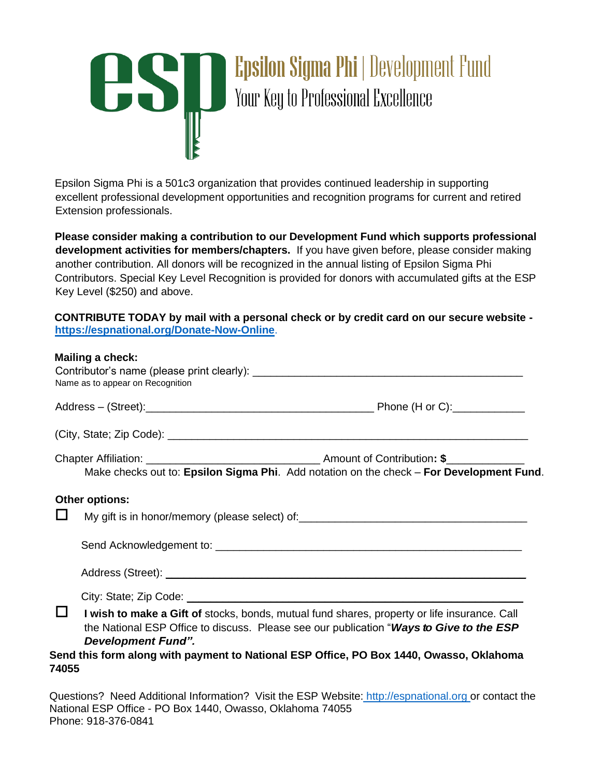# **Epsilon Sigma Phi | Development Fund** US | **Epsilon Sigma Phi** | Developili<br>Your Key to Professional Excellence

Epsilon Sigma Phi is a 501c3 organization that provides continued leadership in supporting excellent professional development opportunities and recognition programs for current and retired Extension professionals.

**Please consider making a contribution to our Development Fund which supports professional development activities for members/chapters.** If you have given before, please consider making another contribution. All donors will be recognized in the annual listing of Epsilon Sigma Phi Contributors. Special Key Level Recognition is provided for donors with accumulated gifts at the ESP Key Level (\$250) and above.

**CONTRIBUTE TODAY by mail with a personal check or by credit card on our secure website <https://espnational.org/Donate-Now-Online>**[.](https://espnational.org/Donate-Now-Online)

#### **Mailing a check:**

|                       | Name as to appear on Recognition                                                                                                                                                                                                                                                                                |  |  |  |  |
|-----------------------|-----------------------------------------------------------------------------------------------------------------------------------------------------------------------------------------------------------------------------------------------------------------------------------------------------------------|--|--|--|--|
|                       |                                                                                                                                                                                                                                                                                                                 |  |  |  |  |
|                       |                                                                                                                                                                                                                                                                                                                 |  |  |  |  |
|                       | Make checks out to: Epsilon Sigma Phi. Add notation on the check - For Development Fund.                                                                                                                                                                                                                        |  |  |  |  |
|                       | Other options:<br>My gift is in honor/memory (please select) of:                                                                                                                                                                                                                                                |  |  |  |  |
|                       |                                                                                                                                                                                                                                                                                                                 |  |  |  |  |
| $\mathbf{L}$<br>74055 | I wish to make a Gift of stocks, bonds, mutual fund shares, property or life insurance. Call<br>the National ESP Office to discuss. Please see our publication "Ways to Give to the ESP<br><b>Development Fund".</b><br>Send this form along with payment to National ESP Office, PO Box 1440, Owasso, Oklahoma |  |  |  |  |

Questions? Need Additional Information? Visit the ESP Website: [http://espnational.org or](http://espnational.org/) contact the National ESP Office - PO Box 1440, Owasso, Oklahoma 74055 Phone: 918-376-0841